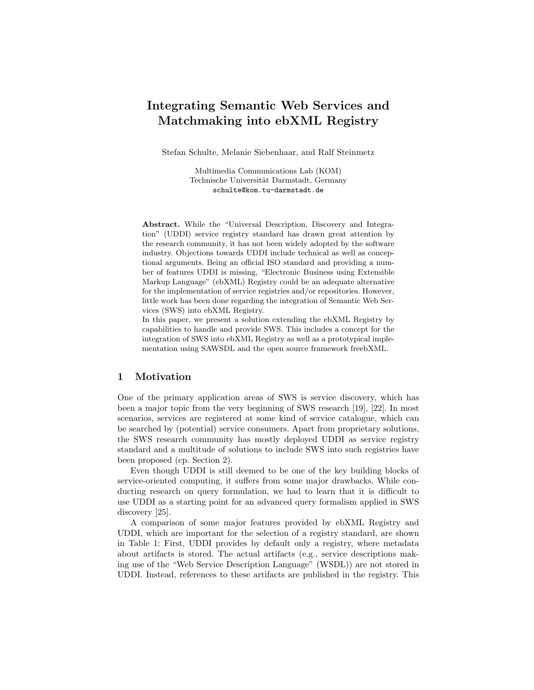# Integrating Semantic Web Services and Matchmaking into ebXML Registry

Stefan Schulte, Melanie Siebenhaar, and Ralf Steinmetz

Multimedia Communications Lab (KOM) Technische Universität Darmstadt, Germany schulte@kom.tu-darmstadt.de

Abstract. While the "Universal Description, Discovery and Integration" (UDDI) service registry standard has drawn great attention by the research community, it has not been widely adopted by the software industry. Objections towards UDDI include technical as well as conceptional arguments. Being an official ISO standard and providing a number of features UDDI is missing, "Electronic Business using Extensible Markup Language" (ebXML) Registry could be an adequate alternative for the implementation of service registries and/or repositories. However, little work has been done regarding the integration of Semantic Web Services (SWS) into ebXML Registry.

In this paper, we present a solution extending the ebXML Registry by capabilities to handle and provide SWS. This includes a concept for the integration of SWS into ebXML Registry as well as a prototypical implementation using SAWSDL and the open source framework freebXML.

# 1 Motivation

One of the primary application areas of SWS is service discovery, which has been a major topic from the very beginning of SWS research [19], [22]. In most scenarios, services are registered at some kind of service catalogue, which can be searched by (potential) service consumers. Apart from proprietary solutions, the SWS research community has mostly deployed UDDI as service registry standard and a multitude of solutions to include SWS into such registries have been proposed (cp. Section 2).

Even though UDDI is still deemed to be one of the key building blocks of service-oriented computing, it suffers from some major drawbacks. While conducting research on query formulation, we had to learn that it is difficult to use UDDI as a starting point for an advanced query formalism applied in SWS discovery [25].

A comparison of some major features provided by ebXML Registry and UDDI, which are important for the selection of a registry standard, are shown in Table 1: First, UDDI provides by default only a registry, where metadata about artifacts is stored. The actual artifacts (e.g., service descriptions making use of the "Web Service Description Language" (WSDL)) are not stored in UDDI. Instead, references to these artifacts are published in the registry. This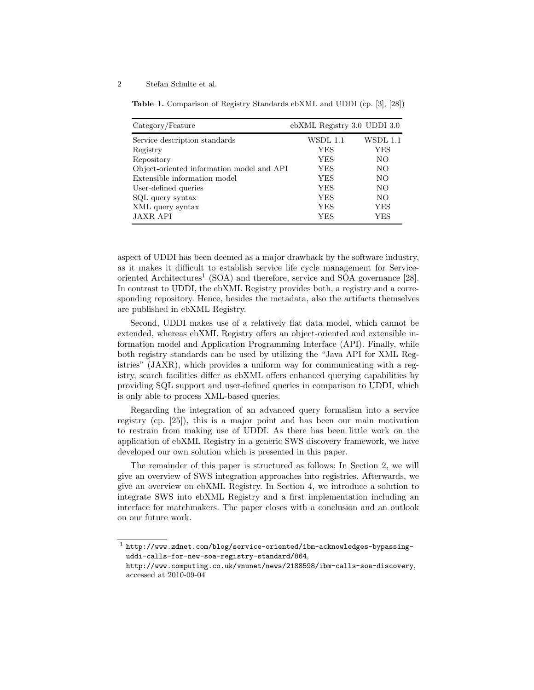Table 1. Comparison of Registry Standards ebXML and UDDI (cp. [3], [28])

| Category/Feature                          | ebXML Registry 3.0 UDDI 3.0 |          |
|-------------------------------------------|-----------------------------|----------|
| Service description standards             | WSDL 1.1                    | WSDL 1.1 |
| Registry                                  | <b>YES</b>                  | YES      |
| Repository                                | <b>YES</b>                  | NO       |
| Object-oriented information model and API | <b>YES</b>                  | NO       |
| Extensible information model              | <b>YES</b>                  | NO.      |
| User-defined queries                      | <b>YES</b>                  | NO.      |
| SQL query syntax                          | <b>YES</b>                  | NO.      |
| XML query syntax                          | <b>YES</b>                  | YES      |
| <b>JAXR API</b>                           | YES                         | YES      |

aspect of UDDI has been deemed as a major drawback by the software industry, as it makes it difficult to establish service life cycle management for Serviceoriented Architectures<sup>1</sup> (SOA) and therefore, service and SOA governance [28]. In contrast to UDDI, the ebXML Registry provides both, a registry and a corresponding repository. Hence, besides the metadata, also the artifacts themselves are published in ebXML Registry.

Second, UDDI makes use of a relatively flat data model, which cannot be extended, whereas ebXML Registry offers an object-oriented and extensible information model and Application Programming Interface (API). Finally, while both registry standards can be used by utilizing the "Java API for XML Registries" (JAXR), which provides a uniform way for communicating with a registry, search facilities differ as ebXML offers enhanced querying capabilities by providing SQL support and user-defined queries in comparison to UDDI, which is only able to process XML-based queries.

Regarding the integration of an advanced query formalism into a service registry (cp. [25]), this is a major point and has been our main motivation to restrain from making use of UDDI. As there has been little work on the application of ebXML Registry in a generic SWS discovery framework, we have developed our own solution which is presented in this paper.

The remainder of this paper is structured as follows: In Section 2, we will give an overview of SWS integration approaches into registries. Afterwards, we give an overview on ebXML Registry. In Section 4, we introduce a solution to integrate SWS into ebXML Registry and a first implementation including an interface for matchmakers. The paper closes with a conclusion and an outlook on our future work.

 $^{\rm 1}$  http://www.zdnet.com/blog/service-oriented/ibm-acknowledges-bypassinguddi-calls-for-new-soa-registry-standard/864,

http://www.computing.co.uk/vnunet/news/2188598/ibm-calls-soa-discovery, accessed at 2010-09-04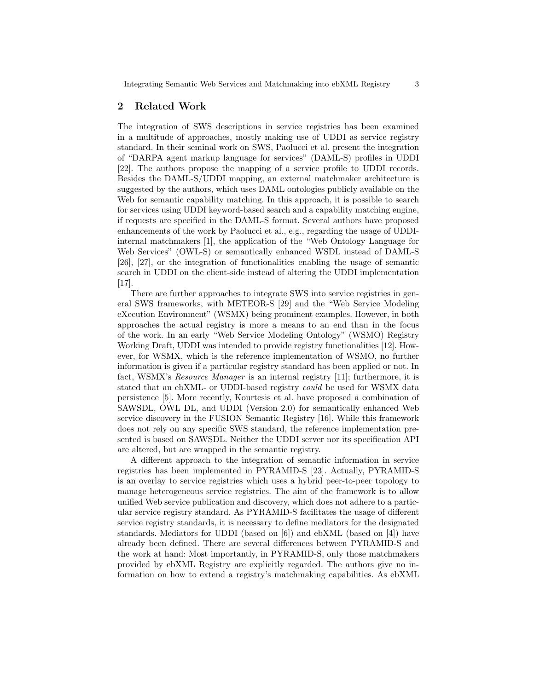# 2 Related Work

The integration of SWS descriptions in service registries has been examined in a multitude of approaches, mostly making use of UDDI as service registry standard. In their seminal work on SWS, Paolucci et al. present the integration of "DARPA agent markup language for services" (DAML-S) profiles in UDDI [22]. The authors propose the mapping of a service profile to UDDI records. Besides the DAML-S/UDDI mapping, an external matchmaker architecture is suggested by the authors, which uses DAML ontologies publicly available on the Web for semantic capability matching. In this approach, it is possible to search for services using UDDI keyword-based search and a capability matching engine, if requests are specified in the DAML-S format. Several authors have proposed enhancements of the work by Paolucci et al., e.g., regarding the usage of UDDIinternal matchmakers [1], the application of the "Web Ontology Language for Web Services" (OWL-S) or semantically enhanced WSDL instead of DAML-S [26], [27], or the integration of functionalities enabling the usage of semantic search in UDDI on the client-side instead of altering the UDDI implementation [17].

There are further approaches to integrate SWS into service registries in general SWS frameworks, with METEOR-S [29] and the "Web Service Modeling eXecution Environment" (WSMX) being prominent examples. However, in both approaches the actual registry is more a means to an end than in the focus of the work. In an early "Web Service Modeling Ontology" (WSMO) Registry Working Draft, UDDI was intended to provide registry functionalities [12]. However, for WSMX, which is the reference implementation of WSMO, no further information is given if a particular registry standard has been applied or not. In fact, WSMX's *Resource Manager* is an internal registry [11]; furthermore, it is stated that an ebXML- or UDDI-based registry could be used for WSMX data persistence [5]. More recently, Kourtesis et al. have proposed a combination of SAWSDL, OWL DL, and UDDI (Version 2.0) for semantically enhanced Web service discovery in the FUSION Semantic Registry [16]. While this framework does not rely on any specific SWS standard, the reference implementation presented is based on SAWSDL. Neither the UDDI server nor its specification API are altered, but are wrapped in the semantic registry.

A different approach to the integration of semantic information in service registries has been implemented in PYRAMID-S [23]. Actually, PYRAMID-S is an overlay to service registries which uses a hybrid peer-to-peer topology to manage heterogeneous service registries. The aim of the framework is to allow unified Web service publication and discovery, which does not adhere to a particular service registry standard. As PYRAMID-S facilitates the usage of different service registry standards, it is necessary to define mediators for the designated standards. Mediators for UDDI (based on [6]) and ebXML (based on [4]) have already been defined. There are several differences between PYRAMID-S and the work at hand: Most importantly, in PYRAMID-S, only those matchmakers provided by ebXML Registry are explicitly regarded. The authors give no information on how to extend a registry's matchmaking capabilities. As ebXML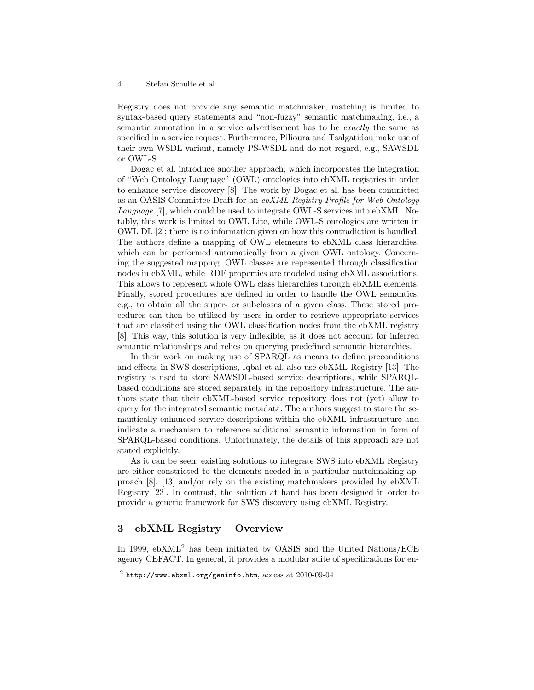Registry does not provide any semantic matchmaker, matching is limited to syntax-based query statements and "non-fuzzy" semantic matchmaking, i.e., a semantic annotation in a service advertisement has to be *exactly* the same as specified in a service request. Furthermore, Pilioura and Tsalgatidou make use of their own WSDL variant, namely PS-WSDL and do not regard, e.g., SAWSDL or OWL-S.

Dogac et al. introduce another approach, which incorporates the integration of "Web Ontology Language" (OWL) ontologies into ebXML registries in order to enhance service discovery [8]. The work by Dogac et al. has been committed as an OASIS Committee Draft for an ebXML Registry Profile for Web Ontology Language [7], which could be used to integrate OWL-S services into ebXML. Notably, this work is limited to OWL Lite, while OWL-S ontologies are written in OWL DL [2]; there is no information given on how this contradiction is handled. The authors define a mapping of OWL elements to ebXML class hierarchies, which can be performed automatically from a given OWL ontology. Concerning the suggested mapping, OWL classes are represented through classification nodes in ebXML, while RDF properties are modeled using ebXML associations. This allows to represent whole OWL class hierarchies through ebXML elements. Finally, stored procedures are defined in order to handle the OWL semantics, e.g., to obtain all the super- or subclasses of a given class. These stored procedures can then be utilized by users in order to retrieve appropriate services that are classified using the OWL classification nodes from the ebXML registry [8]. This way, this solution is very inflexible, as it does not account for inferred semantic relationships and relies on querying predefined semantic hierarchies.

In their work on making use of SPARQL as means to define preconditions and effects in SWS descriptions, Iqbal et al. also use ebXML Registry [13]. The registry is used to store SAWSDL-based service descriptions, while SPARQLbased conditions are stored separately in the repository infrastructure. The authors state that their ebXML-based service repository does not (yet) allow to query for the integrated semantic metadata. The authors suggest to store the semantically enhanced service descriptions within the ebXML infrastructure and indicate a mechanism to reference additional semantic information in form of SPARQL-based conditions. Unfortunately, the details of this approach are not stated explicitly.

As it can be seen, existing solutions to integrate SWS into ebXML Registry are either constricted to the elements needed in a particular matchmaking approach [8], [13] and/or rely on the existing matchmakers provided by ebXML Registry [23]. In contrast, the solution at hand has been designed in order to provide a generic framework for SWS discovery using ebXML Registry.

# 3 ebXML Registry – Overview

In 1999,  $e$ b $XML^2$  has been initiated by OASIS and the United Nations/ECE agency CEFACT. In general, it provides a modular suite of specifications for en-

 $^2$  http://www.ebxml.org/geninfo.htm,  $\arccos$  at  $2010$ -09-04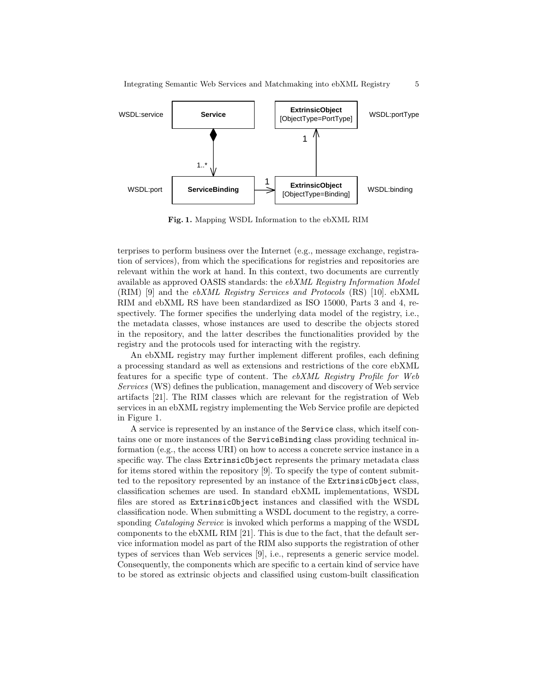

Fig. 1. Mapping WSDL Information to the ebXML RIM

terprises to perform business over the Internet (e.g., message exchange, registration of services), from which the specifications for registries and repositories are relevant within the work at hand. In this context, two documents are currently available as approved OASIS standards: the ebXML Registry Information Model (RIM) [9] and the ebXML Registry Services and Protocols (RS) [10]. ebXML RIM and ebXML RS have been standardized as ISO 15000, Parts 3 and 4, respectively. The former specifies the underlying data model of the registry, i.e., the metadata classes, whose instances are used to describe the objects stored in the repository, and the latter describes the functionalities provided by the registry and the protocols used for interacting with the registry.

An ebXML registry may further implement different profiles, each defining a processing standard as well as extensions and restrictions of the core ebXML features for a specific type of content. The ebXML Registry Profile for Web Services (WS) defines the publication, management and discovery of Web service artifacts [21]. The RIM classes which are relevant for the registration of Web services in an ebXML registry implementing the Web Service profile are depicted in Figure 1.

A service is represented by an instance of the Service class, which itself contains one or more instances of the ServiceBinding class providing technical information (e.g., the access URI) on how to access a concrete service instance in a specific way. The class ExtrinsicObject represents the primary metadata class for items stored within the repository [9]. To specify the type of content submitted to the repository represented by an instance of the ExtrinsicObject class, classification schemes are used. In standard ebXML implementations, WSDL files are stored as ExtrinsicObject instances and classified with the WSDL classification node. When submitting a WSDL document to the registry, a corresponding *Cataloging Service* is invoked which performs a mapping of the WSDL components to the ebXML RIM [21]. This is due to the fact, that the default service information model as part of the RIM also supports the registration of other types of services than Web services [9], i.e., represents a generic service model. Consequently, the components which are specific to a certain kind of service have to be stored as extrinsic objects and classified using custom-built classification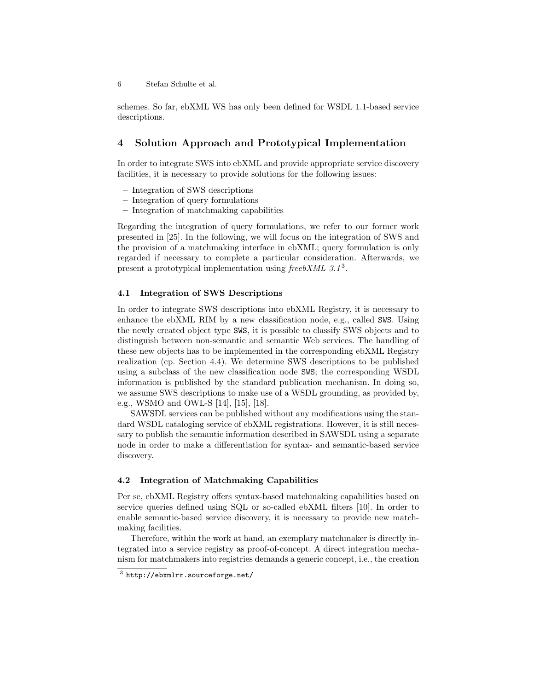schemes. So far, ebXML WS has only been defined for WSDL 1.1-based service descriptions.

# 4 Solution Approach and Prototypical Implementation

In order to integrate SWS into ebXML and provide appropriate service discovery facilities, it is necessary to provide solutions for the following issues:

- Integration of SWS descriptions
- Integration of query formulations
- Integration of matchmaking capabilities

Regarding the integration of query formulations, we refer to our former work presented in [25]. In the following, we will focus on the integration of SWS and the provision of a matchmaking interface in ebXML; query formulation is only regarded if necessary to complete a particular consideration. Afterwards, we present a prototypical implementation using  ${\it free}\,bXML$  3.1<sup>3</sup>.

#### 4.1 Integration of SWS Descriptions

In order to integrate SWS descriptions into ebXML Registry, it is necessary to enhance the ebXML RIM by a new classification node, e.g., called SWS. Using the newly created object type SWS, it is possible to classify SWS objects and to distinguish between non-semantic and semantic Web services. The handling of these new objects has to be implemented in the corresponding ebXML Registry realization (cp. Section 4.4). We determine SWS descriptions to be published using a subclass of the new classification node SWS; the corresponding WSDL information is published by the standard publication mechanism. In doing so, we assume SWS descriptions to make use of a WSDL grounding, as provided by, e.g., WSMO and OWL-S [14], [15], [18].

SAWSDL services can be published without any modifications using the standard WSDL cataloging service of ebXML registrations. However, it is still necessary to publish the semantic information described in SAWSDL using a separate node in order to make a differentiation for syntax- and semantic-based service discovery.

#### 4.2 Integration of Matchmaking Capabilities

Per se, ebXML Registry offers syntax-based matchmaking capabilities based on service queries defined using SQL or so-called ebXML filters [10]. In order to enable semantic-based service discovery, it is necessary to provide new matchmaking facilities.

Therefore, within the work at hand, an exemplary matchmaker is directly integrated into a service registry as proof-of-concept. A direct integration mechanism for matchmakers into registries demands a generic concept, i.e., the creation

 $^3$  http://ebxmlrr.sourceforge.net/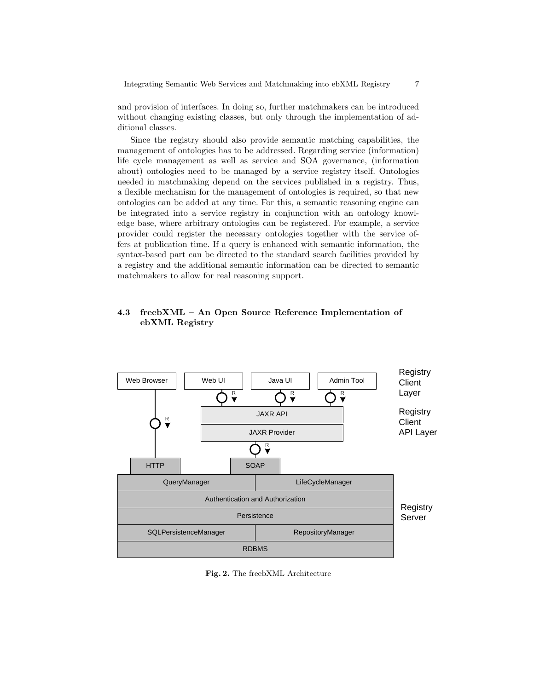and provision of interfaces. In doing so, further matchmakers can be introduced without changing existing classes, but only through the implementation of additional classes.

Since the registry should also provide semantic matching capabilities, the management of ontologies has to be addressed. Regarding service (information) life cycle management as well as service and SOA governance, (information about) ontologies need to be managed by a service registry itself. Ontologies needed in matchmaking depend on the services published in a registry. Thus, a flexible mechanism for the management of ontologies is required, so that new ontologies can be added at any time. For this, a semantic reasoning engine can be integrated into a service registry in conjunction with an ontology knowledge base, where arbitrary ontologies can be registered. For example, a service provider could register the necessary ontologies together with the service offers at publication time. If a query is enhanced with semantic information, the syntax-based part can be directed to the standard search facilities provided by a registry and the additional semantic information can be directed to semantic matchmakers to allow for real reasoning support.

# 4.3 freebXML – An Open Source Reference Implementation of ebXML Registry



Fig. 2. The freebXML Architecture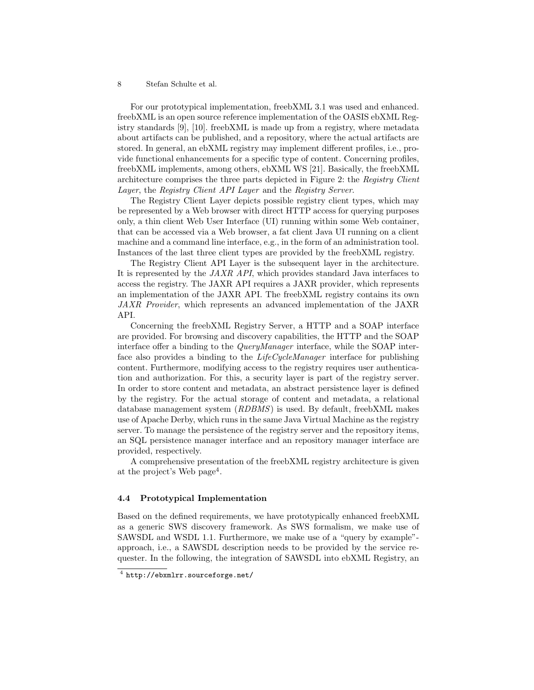For our prototypical implementation, freebXML 3.1 was used and enhanced. freebXML is an open source reference implementation of the OASIS ebXML Registry standards [9], [10]. freebXML is made up from a registry, where metadata about artifacts can be published, and a repository, where the actual artifacts are stored. In general, an ebXML registry may implement different profiles, i.e., provide functional enhancements for a specific type of content. Concerning profiles, freebXML implements, among others, ebXML WS [21]. Basically, the freebXML architecture comprises the three parts depicted in Figure 2: the Registry Client Layer, the Registry Client API Layer and the Registry Server.

The Registry Client Layer depicts possible registry client types, which may be represented by a Web browser with direct HTTP access for querying purposes only, a thin client Web User Interface (UI) running within some Web container, that can be accessed via a Web browser, a fat client Java UI running on a client machine and a command line interface, e.g., in the form of an administration tool. Instances of the last three client types are provided by the freebXML registry.

The Registry Client API Layer is the subsequent layer in the architecture. It is represented by the JAXR API, which provides standard Java interfaces to access the registry. The JAXR API requires a JAXR provider, which represents an implementation of the JAXR API. The freebXML registry contains its own JAXR Provider, which represents an advanced implementation of the JAXR API.

Concerning the freebXML Registry Server, a HTTP and a SOAP interface are provided. For browsing and discovery capabilities, the HTTP and the SOAP interface offer a binding to the QueryManager interface, while the SOAP interface also provides a binding to the *LifeCycleManager* interface for publishing content. Furthermore, modifying access to the registry requires user authentication and authorization. For this, a security layer is part of the registry server. In order to store content and metadata, an abstract persistence layer is defined by the registry. For the actual storage of content and metadata, a relational database management system (RDBMS) is used. By default, freebXML makes use of Apache Derby, which runs in the same Java Virtual Machine as the registry server. To manage the persistence of the registry server and the repository items, an SQL persistence manager interface and an repository manager interface are provided, respectively.

A comprehensive presentation of the freebXML registry architecture is given at the project's Web page<sup>4</sup>.

#### 4.4 Prototypical Implementation

Based on the defined requirements, we have prototypically enhanced freebXML as a generic SWS discovery framework. As SWS formalism, we make use of SAWSDL and WSDL 1.1. Furthermore, we make use of a "query by example" approach, i.e., a SAWSDL description needs to be provided by the service requester. In the following, the integration of SAWSDL into ebXML Registry, an

 $^4$  http://ebxmlrr.sourceforge.net/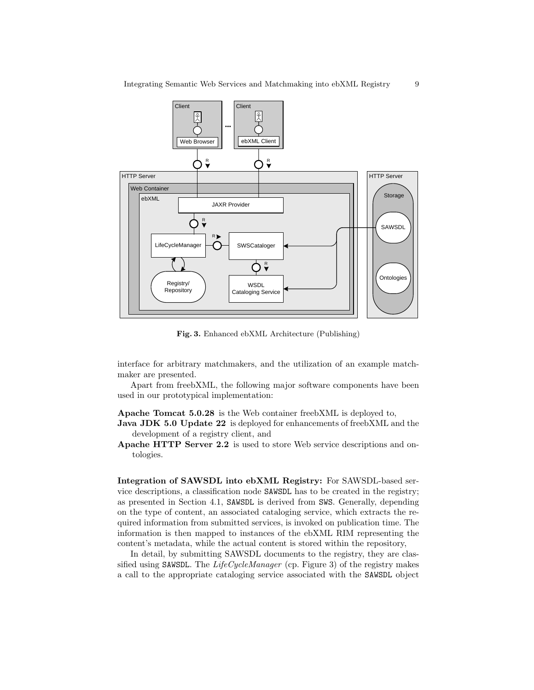

Fig. 3. Enhanced ebXML Architecture (Publishing)

interface for arbitrary matchmakers, and the utilization of an example matchmaker are presented.

Apart from freebXML, the following major software components have been used in our prototypical implementation:

Apache Tomcat 5.0.28 is the Web container freebXML is deployed to,

**Java JDK 5.0 Update 22** is deployed for enhancements of freebXML and the development of a registry client, and

Apache HTTP Server 2.2 is used to store Web service descriptions and ontologies.

Integration of SAWSDL into ebXML Registry: For SAWSDL-based service descriptions, a classification node SAWSDL has to be created in the registry; as presented in Section 4.1, SAWSDL is derived from SWS. Generally, depending on the type of content, an associated cataloging service, which extracts the required information from submitted services, is invoked on publication time. The information is then mapped to instances of the ebXML RIM representing the content's metadata, while the actual content is stored within the repository,

In detail, by submitting SAWSDL documents to the registry, they are classified using SAWSDL. The  $LifeCycleManager$  (cp. Figure 3) of the registry makes a call to the appropriate cataloging service associated with the SAWSDL object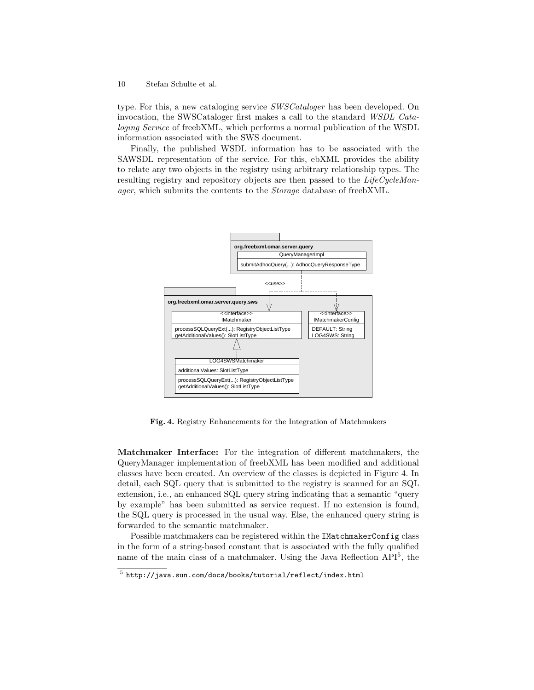type. For this, a new cataloging service SWSCataloger has been developed. On invocation, the SWSCataloger first makes a call to the standard WSDL Cataloging Service of freebXML, which performs a normal publication of the WSDL information associated with the SWS document.

Finally, the published WSDL information has to be associated with the SAWSDL representation of the service. For this, ebXML provides the ability to relate any two objects in the registry using arbitrary relationship types. The resulting registry and repository objects are then passed to the LifeCycleManager, which submits the contents to the Storage database of freebXML.



Fig. 4. Registry Enhancements for the Integration of Matchmakers

Matchmaker Interface: For the integration of different matchmakers, the QueryManager implementation of freebXML has been modified and additional classes have been created. An overview of the classes is depicted in Figure 4. In detail, each SQL query that is submitted to the registry is scanned for an SQL extension, i.e., an enhanced SQL query string indicating that a semantic "query by example" has been submitted as service request. If no extension is found, the SQL query is processed in the usual way. Else, the enhanced query string is forwarded to the semantic matchmaker.

Possible matchmakers can be registered within the IMatchmakerConfig class in the form of a string-based constant that is associated with the fully qualified name of the main class of a matchmaker. Using the Java Reflection API<sup>5</sup>, the

 $^5$  http://java.sun.com/docs/books/tutorial/reflect/index.html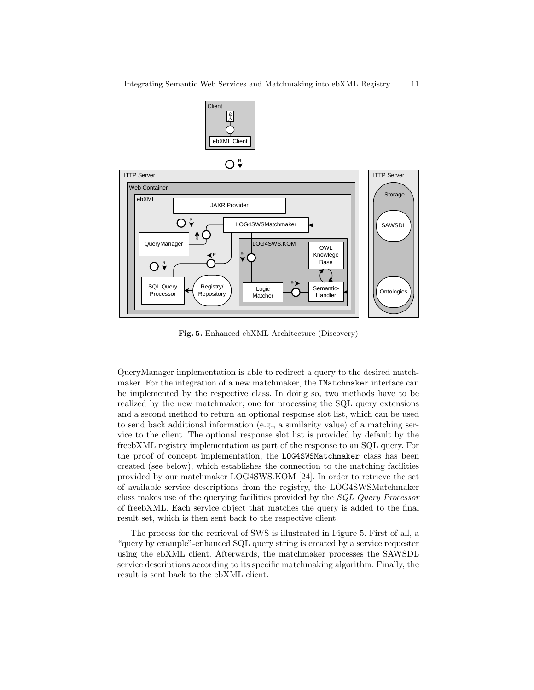

Fig. 5. Enhanced ebXML Architecture (Discovery)

QueryManager implementation is able to redirect a query to the desired matchmaker. For the integration of a new matchmaker, the IMatchmaker interface can be implemented by the respective class. In doing so, two methods have to be realized by the new matchmaker; one for processing the SQL query extensions and a second method to return an optional response slot list, which can be used to send back additional information (e.g., a similarity value) of a matching service to the client. The optional response slot list is provided by default by the freebXML registry implementation as part of the response to an SQL query. For the proof of concept implementation, the LOG4SWSMatchmaker class has been created (see below), which establishes the connection to the matching facilities provided by our matchmaker LOG4SWS.KOM [24]. In order to retrieve the set of available service descriptions from the registry, the LOG4SWSMatchmaker class makes use of the querying facilities provided by the SQL Query Processor of freebXML. Each service object that matches the query is added to the final result set, which is then sent back to the respective client.

The process for the retrieval of SWS is illustrated in Figure 5. First of all, a "query by example"-enhanced SQL query string is created by a service requester using the ebXML client. Afterwards, the matchmaker processes the SAWSDL service descriptions according to its specific matchmaking algorithm. Finally, the result is sent back to the ebXML client.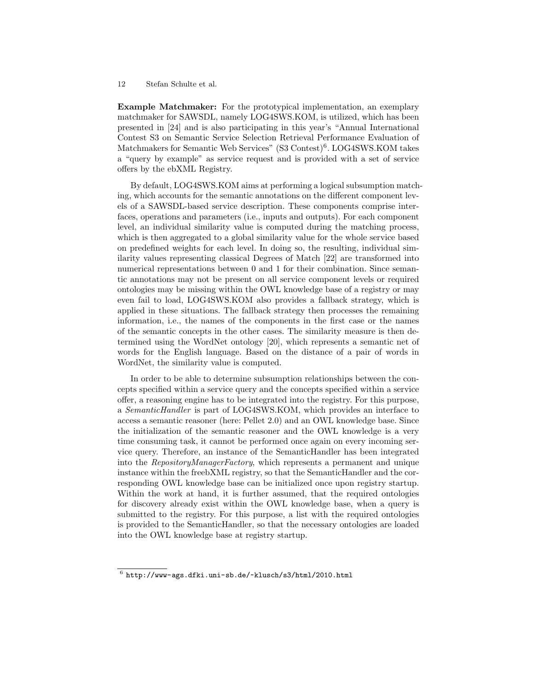Example Matchmaker: For the prototypical implementation, an exemplary matchmaker for SAWSDL, namely LOG4SWS.KOM, is utilized, which has been presented in [24] and is also participating in this year's "Annual International Contest S3 on Semantic Service Selection Retrieval Performance Evaluation of Matchmakers for Semantic Web Services" (S3 Contest)<sup>6</sup>. LOG4SWS.KOM takes a "query by example" as service request and is provided with a set of service offers by the ebXML Registry.

By default, LOG4SWS.KOM aims at performing a logical subsumption matching, which accounts for the semantic annotations on the different component levels of a SAWSDL-based service description. These components comprise interfaces, operations and parameters (i.e., inputs and outputs). For each component level, an individual similarity value is computed during the matching process, which is then aggregated to a global similarity value for the whole service based on predefined weights for each level. In doing so, the resulting, individual similarity values representing classical Degrees of Match [22] are transformed into numerical representations between 0 and 1 for their combination. Since semantic annotations may not be present on all service component levels or required ontologies may be missing within the OWL knowledge base of a registry or may even fail to load, LOG4SWS.KOM also provides a fallback strategy, which is applied in these situations. The fallback strategy then processes the remaining information, i.e., the names of the components in the first case or the names of the semantic concepts in the other cases. The similarity measure is then determined using the WordNet ontology [20], which represents a semantic net of words for the English language. Based on the distance of a pair of words in WordNet, the similarity value is computed.

In order to be able to determine subsumption relationships between the concepts specified within a service query and the concepts specified within a service offer, a reasoning engine has to be integrated into the registry. For this purpose, a SemanticHandler is part of LOG4SWS.KOM, which provides an interface to access a semantic reasoner (here: Pellet 2.0) and an OWL knowledge base. Since the initialization of the semantic reasoner and the OWL knowledge is a very time consuming task, it cannot be performed once again on every incoming service query. Therefore, an instance of the SemanticHandler has been integrated into the RepositoryManagerFactory, which represents a permanent and unique instance within the freebXML registry, so that the SemanticHandler and the corresponding OWL knowledge base can be initialized once upon registry startup. Within the work at hand, it is further assumed, that the required ontologies for discovery already exist within the OWL knowledge base, when a query is submitted to the registry. For this purpose, a list with the required ontologies is provided to the SemanticHandler, so that the necessary ontologies are loaded into the OWL knowledge base at registry startup.

 $^6$  http://www-ags.dfki.uni-sb.de/~klusch/s3/html/2010.html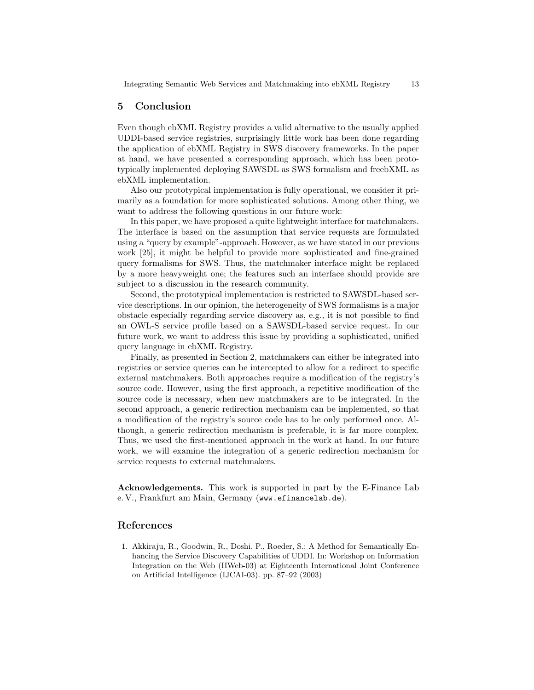# 5 Conclusion

Even though ebXML Registry provides a valid alternative to the usually applied UDDI-based service registries, surprisingly little work has been done regarding the application of ebXML Registry in SWS discovery frameworks. In the paper at hand, we have presented a corresponding approach, which has been prototypically implemented deploying SAWSDL as SWS formalism and freebXML as ebXML implementation.

Also our prototypical implementation is fully operational, we consider it primarily as a foundation for more sophisticated solutions. Among other thing, we want to address the following questions in our future work:

In this paper, we have proposed a quite lightweight interface for matchmakers. The interface is based on the assumption that service requests are formulated using a "query by example"-approach. However, as we have stated in our previous work [25], it might be helpful to provide more sophisticated and fine-grained query formalisms for SWS. Thus, the matchmaker interface might be replaced by a more heavyweight one; the features such an interface should provide are subject to a discussion in the research community.

Second, the prototypical implementation is restricted to SAWSDL-based service descriptions. In our opinion, the heterogeneity of SWS formalisms is a major obstacle especially regarding service discovery as, e.g., it is not possible to find an OWL-S service profile based on a SAWSDL-based service request. In our future work, we want to address this issue by providing a sophisticated, unified query language in ebXML Registry.

Finally, as presented in Section 2, matchmakers can either be integrated into registries or service queries can be intercepted to allow for a redirect to specific external matchmakers. Both approaches require a modification of the registry's source code. However, using the first approach, a repetitive modification of the source code is necessary, when new matchmakers are to be integrated. In the second approach, a generic redirection mechanism can be implemented, so that a modification of the registry's source code has to be only performed once. Although, a generic redirection mechanism is preferable, it is far more complex. Thus, we used the first-mentioned approach in the work at hand. In our future work, we will examine the integration of a generic redirection mechanism for service requests to external matchmakers.

Acknowledgements. This work is supported in part by the E-Finance Lab e. V., Frankfurt am Main, Germany (www.efinancelab.de).

## References

1. Akkiraju, R., Goodwin, R., Doshi, P., Roeder, S.: A Method for Semantically Enhancing the Service Discovery Capabilities of UDDI. In: Workshop on Information Integration on the Web (IIWeb-03) at Eighteenth International Joint Conference on Artificial Intelligence (IJCAI-03). pp. 87–92 (2003)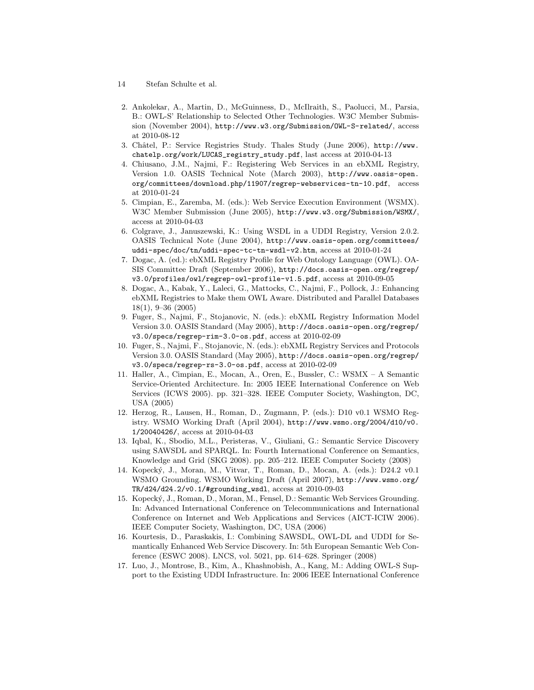- 14 Stefan Schulte et al.
- 2. Ankolekar, A., Martin, D., McGuinness, D., McIlraith, S., Paolucci, M., Parsia, B.: OWL-S' Relationship to Selected Other Technologies. W3C Member Submission (November 2004), http://www.w3.org/Submission/OWL-S-related/, access at 2010-08-12
- 3. Châtel, P.: Service Registries Study. Thales Study (June 2006), http://www. chatelp.org/work/LUCAS\_registry\_study.pdf, last access at 2010-04-13
- 4. Chiusano, J.M., Najmi, F.: Registering Web Services in an ebXML Registry, Version 1.0. OASIS Technical Note (March 2003), http://www.oasis-open. org/committees/download.php/11907/regrep-webservices-tn-10.pdf, access at 2010-01-24
- 5. Cimpian, E., Zaremba, M. (eds.): Web Service Execution Environment (WSMX). W3C Member Submission (June 2005), http://www.w3.org/Submission/WSMX/, access at 2010-04-03
- 6. Colgrave, J., Januszewski, K.: Using WSDL in a UDDI Registry, Version 2.0.2. OASIS Technical Note (June 2004), http://www.oasis-open.org/committees/ uddi-spec/doc/tn/uddi-spec-tc-tn-wsdl-v2.htm, access at 2010-01-24
- 7. Dogac, A. (ed.): ebXML Registry Profile for Web Ontology Language (OWL). OA-SIS Committee Draft (September 2006), http://docs.oasis-open.org/regrep/ v3.0/profiles/owl/regrep-owl-profile-v1.5.pdf, access at 2010-09-05
- 8. Dogac, A., Kabak, Y., Laleci, G., Mattocks, C., Najmi, F., Pollock, J.: Enhancing ebXML Registries to Make them OWL Aware. Distributed and Parallel Databases 18(1), 9–36 (2005)
- 9. Fuger, S., Najmi, F., Stojanovic, N. (eds.): ebXML Registry Information Model Version 3.0. OASIS Standard (May 2005), http://docs.oasis-open.org/regrep/ v3.0/specs/regrep-rim-3.0-os.pdf, access at 2010-02-09
- 10. Fuger, S., Najmi, F., Stojanovic, N. (eds.): ebXML Registry Services and Protocols Version 3.0. OASIS Standard (May 2005), http://docs.oasis-open.org/regrep/ v3.0/specs/regrep-rs-3.0-os.pdf, access at 2010-02-09
- 11. Haller, A., Cimpian, E., Mocan, A., Oren, E., Bussler, C.: WSMX A Semantic Service-Oriented Architecture. In: 2005 IEEE International Conference on Web Services (ICWS 2005). pp. 321–328. IEEE Computer Society, Washington, DC, USA (2005)
- 12. Herzog, R., Lausen, H., Roman, D., Zugmann, P. (eds.): D10 v0.1 WSMO Registry. WSMO Working Draft (April 2004), http://www.wsmo.org/2004/d10/v0. 1/20040426/, access at 2010-04-03
- 13. Iqbal, K., Sbodio, M.L., Peristeras, V., Giuliani, G.: Semantic Service Discovery using SAWSDL and SPARQL. In: Fourth International Conference on Semantics, Knowledge and Grid (SKG 2008). pp. 205–212. IEEE Computer Society (2008)
- 14. Kopeck´y, J., Moran, M., Vitvar, T., Roman, D., Mocan, A. (eds.): D24.2 v0.1 WSMO Grounding. WSMO Working Draft (April 2007), http://www.wsmo.org/ TR/d24/d24.2/v0.1/#grounding\_wsdl, access at 2010-09-03
- 15. Kopeck´y, J., Roman, D., Moran, M., Fensel, D.: Semantic Web Services Grounding. In: Advanced International Conference on Telecommunications and International Conference on Internet and Web Applications and Services (AICT-ICIW 2006). IEEE Computer Society, Washington, DC, USA (2006)
- 16. Kourtesis, D., Paraskakis, I.: Combining SAWSDL, OWL-DL and UDDI for Semantically Enhanced Web Service Discovery. In: 5th European Semantic Web Conference (ESWC 2008). LNCS, vol. 5021, pp. 614–628. Springer (2008)
- 17. Luo, J., Montrose, B., Kim, A., Khashnobish, A., Kang, M.: Adding OWL-S Support to the Existing UDDI Infrastructure. In: 2006 IEEE International Conference